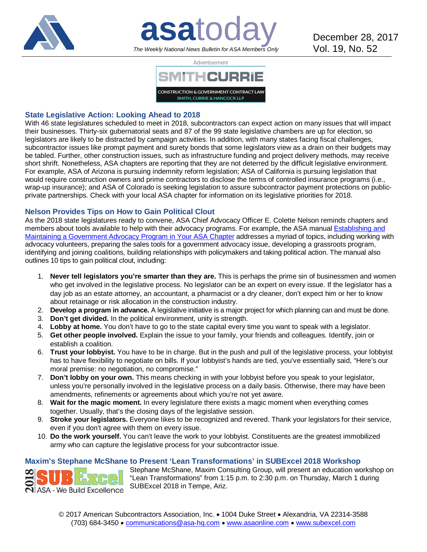

# **asatoday** December 28, 2017 *The Weekly National News Bulletin for ASA Members Only*



## **State Legislative Action: Looking Ahead to 2018**

With 46 state legislatures scheduled to meet in 2018, subcontractors can expect action on many issues that will impact their businesses. Thirty-six gubernatorial seats and 87 of the 99 state legislative chambers are up for election, so legislators are likely to be distracted by campaign activities. In addition, with many states facing fiscal challenges, subcontractor issues like prompt payment and surety bonds that some legislators view as a drain on their budgets may be tabled. Further, other construction issues, such as infrastructure funding and project delivery methods, may receive short shrift. Nonetheless, ASA chapters are reporting that they are not deterred by the difficult legislative environment. For example, ASA of Arizona is pursuing indemnity reform legislation; ASA of California is pursuing legislation that would require construction owners and prime contractors to disclose the terms of controlled insurance programs (i.e., wrap-up insurance); and ASA of Colorado is seeking legislation to assure subcontractor payment protections on publicprivate partnerships. Check with your local ASA chapter for information on its legislative priorities for 2018.

## **Nelson Provides Tips on How to Gain Political Clout**

As the 2018 state legislatures ready to convene, ASA Chief Advocacy Officer E. Colette Nelson reminds chapters and members about tools available to help with their advocacy programs. For example, the ASA manual Establishing and [Maintaining a Government Advocacy Program in Your ASA Chapter](http://bit.ly/23HZbPI) addresses a myriad of topics, including working with advocacy volunteers, preparing the sales tools for a government advocacy issue, developing a grassroots program, identifying and joining coalitions, building relationships with policymakers and taking political action. The manual also outlines 10 tips to gain political clout, including:

- 1. **Never tell legislators you're smarter than they are.** This is perhaps the prime sin of businessmen and women who get involved in the legislative process. No legislator can be an expert on every issue. If the legislator has a day job as an estate attorney, an accountant, a pharmacist or a dry cleaner, don't expect him or her to know about retainage or risk allocation in the construction industry.
- 2. **Develop a program in advance.** A legislative initiative is a major project for which planning can and must be done.
- 3. **Don't get divided.** In the political environment, unity is strength.
- 4. **Lobby at home.** You don't have to go to the state capital every time you want to speak with a legislator.
- 5. **Get other people involved.** Explain the issue to your family, your friends and colleagues. Identify, join or establish a coalition.
- 6. **Trust your lobbyist.** You have to be in charge. But in the push and pull of the legislative process, your lobbyist has to have flexibility to negotiate on bills. If your lobbyist's hands are tied, you've essentially said, "Here's our moral premise: no negotiation, no compromise."
- 7. **Don't lobby on your own.** This means checking in with your lobbyist before you speak to your legislator, unless you're personally involved in the legislative process on a daily basis. Otherwise, there may have been amendments, refinements or agreements about which you're not yet aware.
- 8. **Wait for the magic moment.** In every legislature there exists a magic moment when everything comes together. Usually, that's the closing days of the legislative session.
- 9. **Stroke your legislators.** Everyone likes to be recognized and revered. Thank your legislators for their service, even if you don't agree with them on every issue.
- 10. **Do the work yourself.** You can't leave the work to your lobbyist. Constituents are the greatest immobilized army who can capture the legislative process for your subcontractor issue.

## **Maxim's Stephane McShane to Present 'Lean Transformations' in SUBExcel 2018 Workshop**

Stephane McShane, Maxim Consulting Group, will present an education workshop on "Lean Transformations" from 1:15 p.m. to 2:30 p.m. on Thursday, March 1 during SUBExcel 2018 in Tempe, Ariz. **N** ASA - We Build Excellence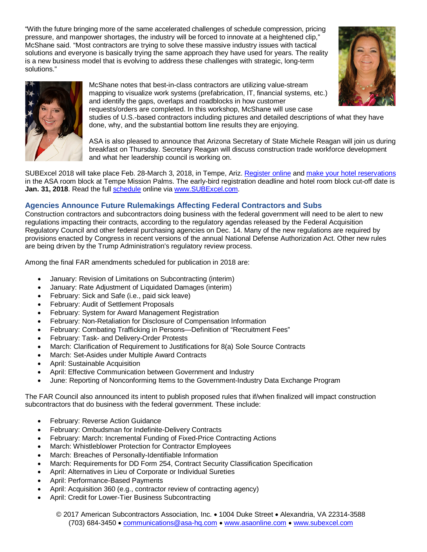"With the future bringing more of the same accelerated challenges of schedule compression, pricing pressure, and manpower shortages, the industry will be forced to innovate at a heightened clip," McShane said. "Most contractors are trying to solve these massive industry issues with tactical solutions and everyone is basically trying the same approach they have used for years. The reality is a new business model that is evolving to address these challenges with strategic, long-term solutions."





McShane notes that best-in-class contractors are utilizing value-stream mapping to visualize work systems (prefabrication, IT, financial systems, etc.) and identify the gaps, overlaps and roadblocks in how customer requests/orders are completed. In this workshop, McShane will use case

studies of U.S.-based contractors including pictures and detailed descriptions of what they have done, why, and the substantial bottom line results they are enjoying.

ASA is also pleased to announce that Arizona Secretary of State Michele Reagan will join us during breakfast on Thursday. Secretary Reagan will discuss construction trade workforce development and what her leadership council is working on.

SUBExcel 2018 will take place Feb. 28-March 3, 2018, in Tempe, Ariz[. Register online](http://bit.ly/2w8y1XQ) and [make your hotel reservations](http://bit.ly/2j4xjox) in the ASA room block at Tempe Mission Palms. The early-bird registration deadline and hotel room block cut-off date is **Jan. 31, 2018**. Read the full [schedule](http://bit.ly/2iS39S4) online via [www.SUBExcel.com.](http://www.subexcel.com/)

## **Agencies Announce Future Rulemakings Affecting Federal Contractors and Subs**

Construction contractors and subcontractors doing business with the federal government will need to be alert to new regulations impacting their contracts, according to the regulatory agendas released by the Federal Acquisition Regulatory Council and other federal purchasing agencies on Dec. 14. Many of the new regulations are required by provisions enacted by Congress in recent versions of the annual National Defense Authorization Act. Other new rules are being driven by the Trump Administration's regulatory review process.

Among the final FAR amendments scheduled for publication in 2018 are:

- January: Revision of Limitations on Subcontracting (interim)
- January: Rate Adjustment of Liquidated Damages (interim)
- February: Sick and Safe (i.e., paid sick leave)
- February: Audit of Settlement Proposals
- February: System for Award Management Registration
- February: Non-Retaliation for Disclosure of Compensation Information
- February: Combating Trafficking in Persons—Definition of "Recruitment Fees"
- February: Task- and Delivery-Order Protests
- March: Clarification of Requirement to Justifications for 8(a) Sole Source Contracts
- March: Set-Asides under Multiple Award Contracts
- April: Sustainable Acquisition
- April: Effective Communication between Government and Industry
- June: Reporting of Nonconforming Items to the Government-Industry Data Exchange Program

The FAR Council also announced its intent to publish proposed rules that if/when finalized will impact construction subcontractors that do business with the federal government. These include:

- February: Reverse Action Guidance
- February: Ombudsman for Indefinite-Delivery Contracts
- February: March: Incremental Funding of Fixed-Price Contracting Actions
- March: Whistleblower Protection for Contractor Employees
- March: Breaches of Personally-Identifiable Information
- March: Requirements for DD Form 254, Contract Security Classification Specification
- April: Alternatives in Lieu of Corporate or Individual Sureties
- April: Performance-Based Payments
- April: Acquisition 360 (e.g., contractor review of contracting agency)
- April: Credit for Lower-Tier Business Subcontracting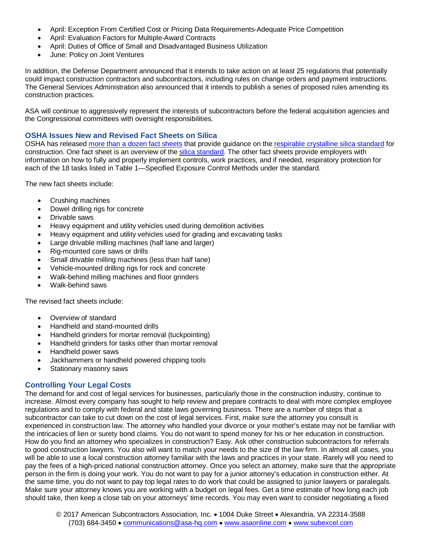- April: Exception From Certified Cost or Pricing Data Requirements-Adequate Price Competition
- April: Evaluation Factors for Multiple-Award Contracts
- April: Duties of Office of Small and Disadvantaged Business Utilization
- June: Policy on Joint Ventures

In addition, the Defense Department announced that it intends to take action on at least 25 regulations that potentially could impact construction contractors and subcontractors, including rules on change orders and payment instructions. The General Services Administration also announced that it intends to publish a series of proposed rules amending its construction practices.

ASA will continue to aggressively represent the interests of subcontractors before the federal acquisition agencies and the Congressional committees with oversight responsibilities.

#### **OSHA Issues New and Revised Fact Sheets on Silica**

OSHA has released [more than a dozen fact sheets](http://bit.ly/2BTd1Xk) that provide guidance on the [respirable crystalline silica standard](http://bit.ly/2pbwjSH) for construction. One fact sheet is an overview of the [silica standard.](http://bit.ly/2ovGM8X) The other fact sheets provide employers with information on how to fully and properly implement controls, work practices, and if needed, respiratory protection for each of the 18 tasks listed in Table 1—Specified Exposure Control Methods under the standard.

The new fact sheets include:

- Crushing machines
- Dowel drilling rigs for concrete
- Drivable saws
- Heavy equipment and utility vehicles used during demolition activities
- Heavy equipment and utility vehicles used for grading and excavating tasks
- Large drivable milling machines (half lane and larger)
- Rig-mounted core saws or drills
- Small drivable milling machines (less than half lane)
- Vehicle-mounted drilling rigs for rock and concrete
- Walk-behind milling machines and floor grinders
- Walk-behind saws

The revised fact sheets include:

- Overview of standard
- Handheld and stand-mounted drills
- Handheld grinders for mortar removal (tuckpointing)
- Handheld grinders for tasks other than mortar removal
- Handheld power saws
- Jackhammers or handheld powered chipping tools
- Stationary masonry saws

#### **Controlling Your Legal Costs**

The demand for and cost of legal services for businesses, particularly those in the construction industry, continue to increase. Almost every company has sought to help review and prepare contracts to deal with more complex employee regulations and to comply with federal and state laws governing business. There are a number of steps that a subcontractor can take to cut down on the cost of legal services. First, make sure the attorney you consult is experienced in construction law. The attorney who handled your divorce or your mother's estate may not be familiar with the intricacies of lien or surety bond claims. You do not want to spend money for his or her education in construction. How do you find an attorney who specializes in construction? Easy. Ask other construction subcontractors for referrals to good construction lawyers. You also will want to match your needs to the size of the law firm. In almost all cases, you will be able to use a local construction attorney familiar with the laws and practices in your state. Rarely will you need to pay the fees of a high-priced national construction attorney. Once you select an attorney, make sure that the appropriate person in the firm is doing your work. You do not want to pay for a junior attorney's education in construction either. At the same time, you do not want to pay top legal rates to do work that could be assigned to junior lawyers or paralegals. Make sure your attorney knows you are working with a budget on legal fees. Get a time estimate of how long each job should take, then keep a close tab on your attorneys' time records. You may even want to consider negotiating a fixed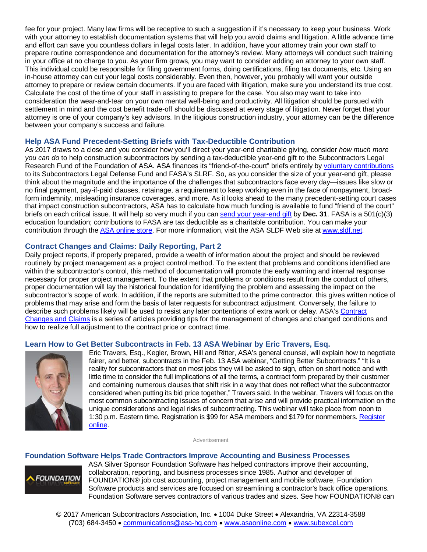fee for your project. Many law firms will be receptive to such a suggestion if it's necessary to keep your business. Work with your attorney to establish documentation systems that will help you avoid claims and litigation. A little advance time and effort can save you countless dollars in legal costs later. In addition, have your attorney train your own staff to prepare routine correspondence and documentation for the attorney's review. Many attorneys will conduct such training in your office at no charge to you. As your firm grows, you may want to consider adding an attorney to your own staff. This individual could be responsible for filing government forms, doing certifications, filing tax documents, etc. Using an in-house attorney can cut your legal costs considerably. Even then, however, you probably will want your outside attorney to prepare or review certain documents. If you are faced with litigation, make sure you understand its true cost. Calculate the cost of the time of your staff in assisting to prepare for the case. You also may want to take into consideration the wear-and-tear on your own mental well-being and productivity. All litigation should be pursued with settlement in mind and the cost benefit trade-off should be discussed at every stage of litigation. Never forget that your attorney is one of your company's key advisors. In the litigious construction industry, your attorney can be the difference between your company's success and failure.

#### **Help ASA Fund Precedent-Setting Briefs with Tax-Deductible Contribution**

As 2017 draws to a close and you consider how you'll direct your year-end charitable giving, consider *how much more you can do* to help construction subcontractors by sending a tax-deductible year-end gift to the Subcontractors Legal Research Fund of the Foundation of ASA. ASA finances its "friend-of-the-court" briefs entirely by [voluntary contributions](http://bit.ly/1TXJigc) to its Subcontractors Legal Defense Fund and FASA's SLRF. So, as you consider the size of your year-end gift, please think about the magnitude and the importance of the challenges that subcontractors face every day—issues like slow or no final payment, pay-if-paid clauses, retainage, a requirement to keep working even in the face of nonpayment, broadform indemnity, misleading insurance coverages, and more. As it looks ahead to the many precedent-setting court cases that impact construction subcontractors, ASA has to calculate how much funding is available to fund "friend of the court" briefs on each critical issue. It will help so very much if you can [send your year-end gift](http://bit.ly/1TXJigc) by **Dec. 31**. FASA is a 501(c)(3) education foundation; contributions to FASA are tax deductible as a charitable contribution. You can make your contribution through the [ASA online store.](http://bit.ly/1TXJigc) For more information, visit the ASA SLDF Web site at [www.sldf.net.](http://www.sldf.net/)

### **Contract Changes and Claims: Daily Reporting, Part 2**

Daily project reports, if properly prepared, provide a wealth of information about the project and should be reviewed routinely by project management as a project control method. To the extent that problems and conditions identified are within the subcontractor's control, this method of documentation will promote the early warning and internal response necessary for proper project management. To the extent that problems or conditions result from the conduct of others, proper documentation will lay the historical foundation for identifying the problem and assessing the impact on the subcontractor's scope of work. In addition, if the reports are submitted to the prime contractor, this gives written notice of problems that may arise and form the basis of later requests for subcontract adjustment. Conversely, the failure to describe such problems likely will be used to resist any later contentions of extra work or delay. ASA's [Contract](http://bit.ly/1CRsZuK)  [Changes and Claims](http://bit.ly/1CRsZuK) is a series of articles providing tips for the management of changes and changed conditions and how to realize full adjustment to the contract price or contract time.

#### **Learn How to Get Better Subcontracts in Feb. 13 ASA Webinar by Eric Travers, Esq.**



Eric Travers, Esq., Kegler, Brown, Hill and Ritter, ASA's general counsel, will explain how to negotiate fairer, and better, subcontracts in the Feb. 13 ASA webinar, "Getting Better Subcontracts." "It is a reality for subcontractors that on most jobs they will be asked to sign, often on short notice and with little time to consider the full implications of all the terms, a contract form prepared by their customer and containing numerous clauses that shift risk in a way that does not reflect what the subcontractor considered when putting its bid price together," Travers said. In the webinar, Travers will focus on the most common subcontracting issues of concern that arise and will provide practical information on the unique considerations and legal risks of subcontracting. This webinar will take place from noon to 1:30 p.m. Eastern time. Registration is \$99 for ASA members and \$179 for nonmembers. Register [online.](http://bit.ly/2gDpu8T)

Advertisement

#### **Foundation Software Helps Trade Contractors Improve Accounting and Business Processes**



ASA Silver Sponsor Foundation Software has helped contractors improve their accounting, collaboration, reporting, and business processes since 1985. Author and developer of FOUNDATION® job cost accounting, project management and mobile software, Foundation Software products and services are focused on streamlining a contractor's back office operations. Foundation Software serves contractors of various trades and sizes. See how FOUNDATION® can